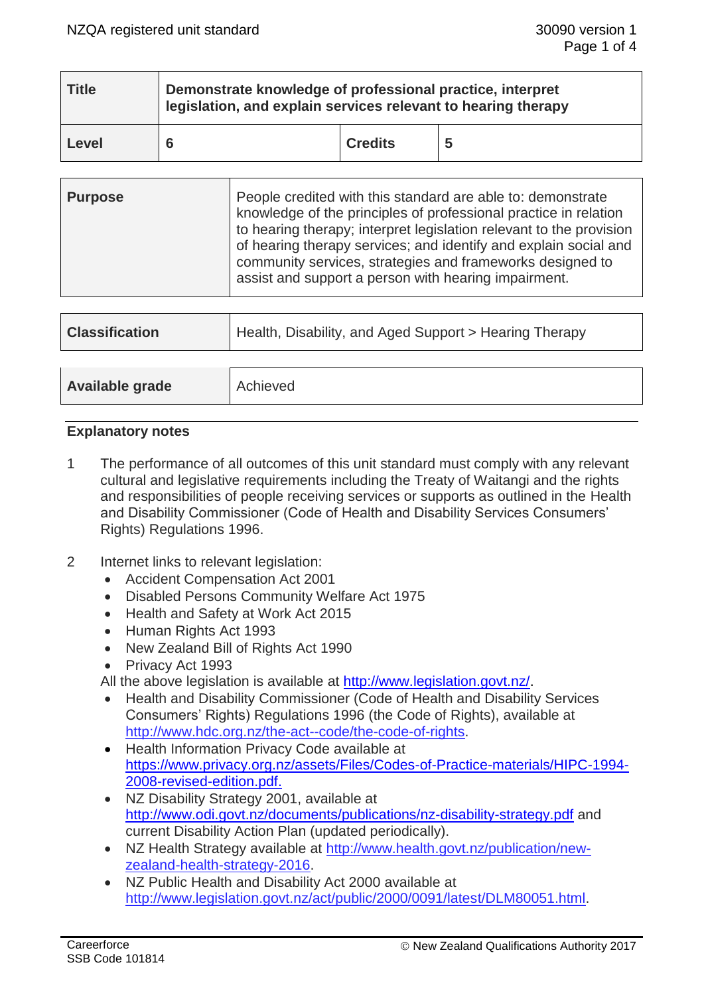| <b>Title</b> | Demonstrate knowledge of professional practice, interpret<br>legislation, and explain services relevant to hearing therapy |                |   |  |
|--------------|----------------------------------------------------------------------------------------------------------------------------|----------------|---|--|
| Level        |                                                                                                                            | <b>Credits</b> | 5 |  |

| <b>Purpose</b> | People credited with this standard are able to: demonstrate<br>knowledge of the principles of professional practice in relation<br>to hearing therapy; interpret legislation relevant to the provision<br>of hearing therapy services; and identify and explain social and<br>community services, strategies and frameworks designed to<br>assist and support a person with hearing impairment. |
|----------------|-------------------------------------------------------------------------------------------------------------------------------------------------------------------------------------------------------------------------------------------------------------------------------------------------------------------------------------------------------------------------------------------------|
|                |                                                                                                                                                                                                                                                                                                                                                                                                 |

| <b>Classification</b> | Health, Disability, and Aged Support > Hearing Therapy |  |
|-----------------------|--------------------------------------------------------|--|
|                       |                                                        |  |
| Available grade       | Achieved                                               |  |

# **Explanatory notes**

- 1 The performance of all outcomes of this unit standard must comply with any relevant cultural and legislative requirements including the Treaty of Waitangi and the rights and responsibilities of people receiving services or supports as outlined in the Health and Disability Commissioner (Code of Health and Disability Services Consumers' Rights) Regulations 1996.
- 2 Internet links to relevant legislation:
	- Accident Compensation Act 2001
	- Disabled Persons Community Welfare Act 1975
	- Health and Safety at Work Act 2015
	- Human Rights Act 1993
	- New Zealand Bill of Rights Act 1990
	- Privacy Act 1993
	- All the above legislation is available at [http://www.legislation.govt.nz/.](http://www.legislation.govt.nz/)
	- Health and Disability Commissioner (Code of Health and Disability Services Consumers' Rights) Regulations 1996 (the Code of Rights), available at [http://www.hdc.org.nz/the-act--code/the-code-of-rights.](http://www.hdc.org.nz/the-act--code/the-code-of-rights)
	- Health Information Privacy Code available at [https://www.privacy.org.nz/assets/Files/Codes-of-Practice-materials/HIPC-1994-](https://www.privacy.org.nz/assets/Files/Codes-of-Practice-materials/HIPC-1994-2008-revised-edition.pdf) [2008-revised-edition.pdf.](https://www.privacy.org.nz/assets/Files/Codes-of-Practice-materials/HIPC-1994-2008-revised-edition.pdf)
	- NZ Disability Strategy 2001, available at <http://www.odi.govt.nz/documents/publications/nz-disability-strategy.pdf> and current Disability Action Plan (updated periodically).
	- NZ Health Strategy available at [http://www.health.govt.nz/publication/new](http://www.health.govt.nz/publication/new-zealand-health-strategy-2016)[zealand-health-strategy-2016.](http://www.health.govt.nz/publication/new-zealand-health-strategy-2016)
	- NZ Public Health and Disability Act 2000 available at [http://www.legislation.govt.nz/act/public/2000/0091/latest/DLM80051.html.](http://www.legislation.govt.nz/act/public/2000/0091/latest/DLM80051.html)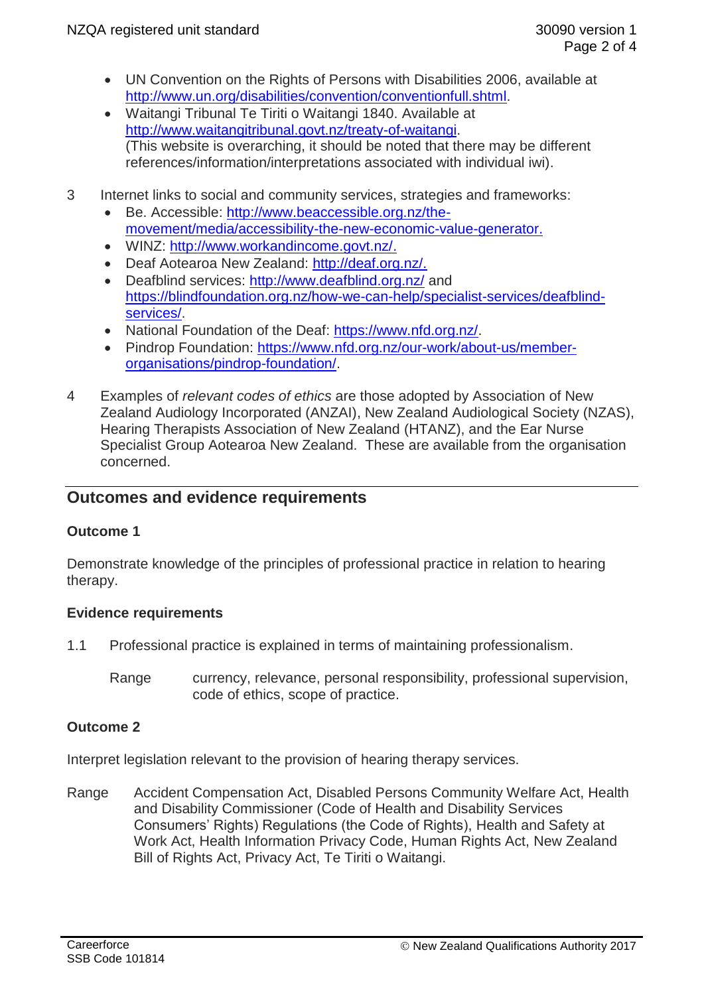- UN Convention on the Rights of Persons with Disabilities 2006, available at [http://www.un.org/disabilities/convention/conventionfull.shtml.](http://www.un.org/disabilities/convention/conventionfull.shtml)
- Waitangi Tribunal Te Tiriti o Waitangi 1840. Available at [http://www.waitangitribunal.govt.nz/treaty-of-waitangi.](http://www.waitangitribunal.govt.nz/treaty-of-waitangi) (This website is overarching, it should be noted that there may be different references/information/interpretations associated with individual iwi).
- 3 Internet links to social and community services, strategies and frameworks:
	- Be. Accessible: [http://www.beaccessible.org.nz/the](http://www.beaccessible.org.nz/the-movement/media/accessibility-the-new-economic-value-generator)[movement/media/accessibility-the-new-economic-value-generator.](http://www.beaccessible.org.nz/the-movement/media/accessibility-the-new-economic-value-generator)
	- WINZ: [http://www.workandincome.govt.nz/.](http://www.workandincome.govt.nz/)
	- Deaf Aotearoa New Zealand: [http://deaf.org.nz/.](http://deaf.org.nz/)
	- Deafblind services:<http://www.deafblind.org.nz/> and [https://blindfoundation.org.nz/how-we-can-help/specialist-services/deafblind](https://blindfoundation.org.nz/how-we-can-help/specialist-services/deafblind-services/)[services/.](https://blindfoundation.org.nz/how-we-can-help/specialist-services/deafblind-services/)
	- National Foundation of the Deaf: [https://www.nfd.org.nz/.](https://www.nfd.org.nz/)
	- Pindrop Foundation: [https://www.nfd.org.nz/our-work/about-us/member](https://www.nfd.org.nz/our-work/about-us/member-organisations/pindrop-foundation/)[organisations/pindrop-foundation/.](https://www.nfd.org.nz/our-work/about-us/member-organisations/pindrop-foundation/)
- 4 Examples of *relevant codes of ethics* are those adopted by Association of New Zealand Audiology Incorporated (ANZAI), New Zealand Audiological Society (NZAS), Hearing Therapists Association of New Zealand (HTANZ), and the Ear Nurse Specialist Group Aotearoa New Zealand. These are available from the organisation concerned.

# **Outcomes and evidence requirements**

# **Outcome 1**

Demonstrate knowledge of the principles of professional practice in relation to hearing therapy.

## **Evidence requirements**

- 1.1 Professional practice is explained in terms of maintaining professionalism.
	- Range currency, relevance, personal responsibility, professional supervision, code of ethics, scope of practice.

# **Outcome 2**

Interpret legislation relevant to the provision of hearing therapy services.

Range Accident Compensation Act, Disabled Persons Community Welfare Act, Health and Disability Commissioner (Code of Health and Disability Services Consumers' Rights) Regulations (the Code of Rights), Health and Safety at Work Act, Health Information Privacy Code, Human Rights Act, New Zealand Bill of Rights Act, Privacy Act, Te Tiriti o Waitangi.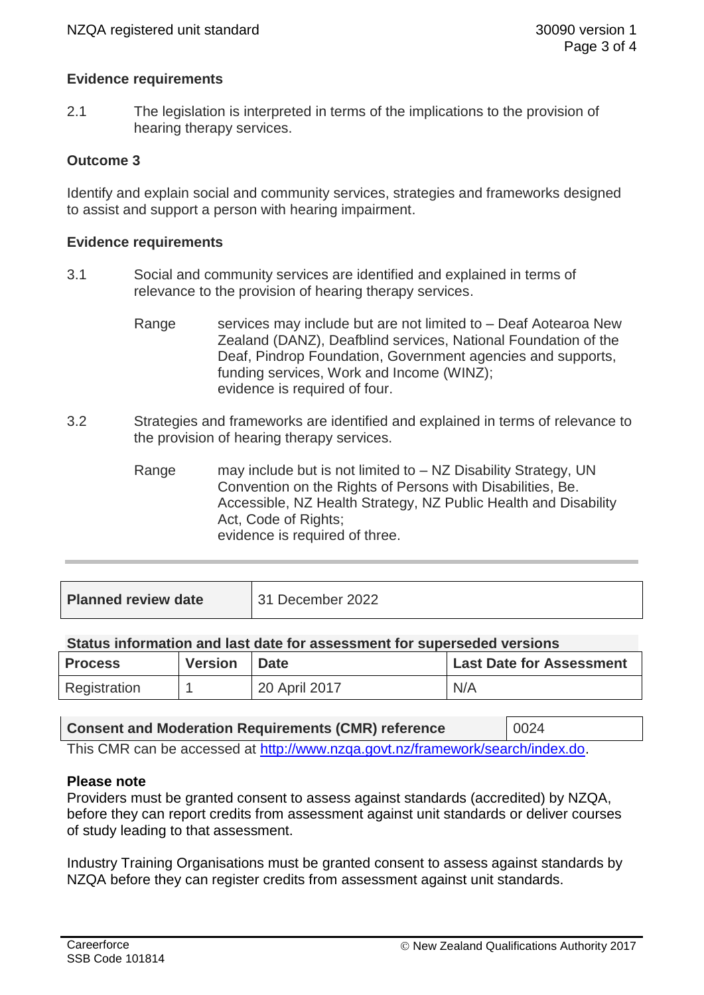## **Evidence requirements**

2.1 The legislation is interpreted in terms of the implications to the provision of hearing therapy services.

## **Outcome 3**

Identify and explain social and community services, strategies and frameworks designed to assist and support a person with hearing impairment.

## **Evidence requirements**

- 3.1 Social and community services are identified and explained in terms of relevance to the provision of hearing therapy services.
	- Range services may include but are not limited to Deaf Aotearoa New Zealand (DANZ), Deafblind services, National Foundation of the Deaf, Pindrop Foundation, Government agencies and supports, funding services, Work and Income (WINZ); evidence is required of four.
- 3.2 Strategies and frameworks are identified and explained in terms of relevance to the provision of hearing therapy services.
	- Range may include but is not limited to NZ Disability Strategy, UN Convention on the Rights of Persons with Disabilities, Be. Accessible, NZ Health Strategy, NZ Public Health and Disability Act, Code of Rights; evidence is required of three.

| <b>Planned review date</b> | 31 December 2022 |
|----------------------------|------------------|
|                            |                  |

## **Status information and last date for assessment for superseded versions**

| <b>Process</b> | <b>Version</b> | <b>Date</b>   | <b>Last Date for Assessment</b> |
|----------------|----------------|---------------|---------------------------------|
| Registration   |                | 20 April 2017 | N/A                             |

| <b>Consent and Moderation Requirements (CMR) reference</b>                     | 0024 |  |  |
|--------------------------------------------------------------------------------|------|--|--|
| This CMR can be accessed at http://www.nzqa.govt.nz/framework/search/index.do. |      |  |  |

## **Please note**

Providers must be granted consent to assess against standards (accredited) by NZQA, before they can report credits from assessment against unit standards or deliver courses of study leading to that assessment.

Industry Training Organisations must be granted consent to assess against standards by NZQA before they can register credits from assessment against unit standards.